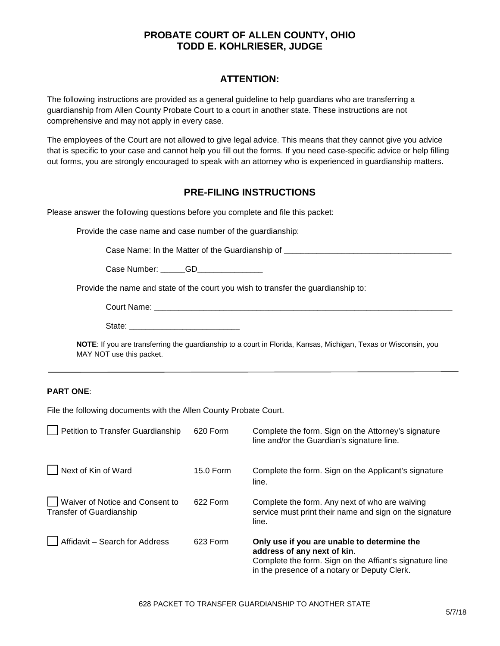## **PROBATE COURT OF ALLEN COUNTY, OHIO TODD E. KOHLRIESER, JUDGE**

# **ATTENTION:**

The following instructions are provided as a general guideline to help guardians who are transferring a guardianship from Allen County Probate Court to a court in another state. These instructions are not comprehensive and may not apply in every case.

The employees of the Court are not allowed to give legal advice. This means that they cannot give you advice that is specific to your case and cannot help you fill out the forms. If you need case-specific advice or help filling out forms, you are strongly encouraged to speak with an attorney who is experienced in guardianship matters.

## **PRE-FILING INSTRUCTIONS**

Please answer the following questions before you complete and file this packet:

Provide the case name and case number of the guardianship:

Case Name: In the Matter of the Guardianship of \_\_\_\_\_\_\_\_\_\_\_\_\_\_\_\_\_\_\_\_\_\_\_\_\_\_\_\_\_\_\_\_

Case Number: \_\_\_\_\_\_GD\_\_\_\_\_\_\_\_\_\_\_\_\_\_\_\_

Provide the name and state of the court you wish to transfer the guardianship to:

**NOTE**: If you are transferring the guardianship to a court in Florida, Kansas, Michigan, Texas or Wisconsin, you MAY NOT use this packet.

### **PART ONE**:

File the following documents with the Allen County Probate Court.

| Petition to Transfer Guardianship                           | 620 Form  | Complete the form. Sign on the Attorney's signature<br>line and/or the Guardian's signature line.                                                                                     |
|-------------------------------------------------------------|-----------|---------------------------------------------------------------------------------------------------------------------------------------------------------------------------------------|
| Next of Kin of Ward                                         | 15.0 Form | Complete the form. Sign on the Applicant's signature<br>line.                                                                                                                         |
| Waiver of Notice and Consent to<br>Transfer of Guardianship | 622 Form  | Complete the form. Any next of who are waiving<br>service must print their name and sign on the signature<br>line.                                                                    |
| Affidavit - Search for Address                              | 623 Form  | Only use if you are unable to determine the<br>address of any next of kin.<br>Complete the form. Sign on the Affiant's signature line<br>in the presence of a notary or Deputy Clerk. |